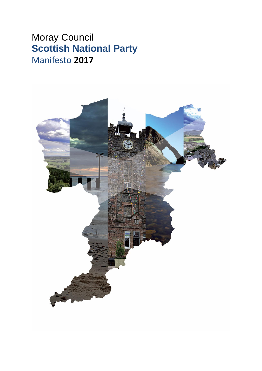# Moray Council **Scottish National Party** Manifesto **2017**

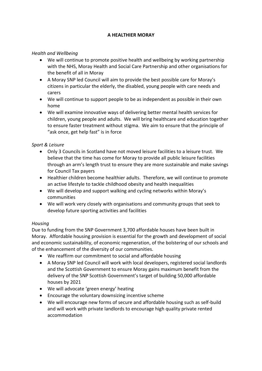# **A HEALTHIER MORAY**

#### *Health and Wellbeing*

- We will continue to promote positive health and wellbeing by working partnership with the NHS, Moray Health and Social Care Partnership and other organisations for the benefit of all in Moray
- A Moray SNP led Council will aim to provide the best possible care for Moray's citizens in particular the elderly, the disabled, young people with care needs and carers
- We will continue to support people to be as independent as possible in their own home
- We will examine innovative ways of delivering better mental health services for children, young people and adults. We will bring healthcare and education together to ensure faster treatment without stigma. We aim to ensure that the principle of "ask once, get help fast" is in force

#### *Sport & Leisure*

- Only 3 Councils in Scotland have not moved leisure facilities to a leisure trust. We believe that the time has come for Moray to provide all public leisure facilities through an arm's length trust to ensure they are more sustainable and make savings for Council Tax payers
- Healthier children become healthier adults. Therefore, we will continue to promote an active lifestyle to tackle childhood obesity and health inequalities
- We will develop and support walking and cycling networks within Moray's communities
- We will work very closely with organisations and community groups that seek to develop future sporting activities and facilities

#### *Housing*

Due to funding from the SNP Government 3,700 affordable houses have been built in Moray. Affordable housing provision is essential for the growth and development of social and economic sustainability, of economic regeneration, of the bolstering of our schools and of the enhancement of the diversity of our communities.

- We reaffirm our commitment to social and affordable housing
- A Moray SNP led Council will work with local developers, registered social landlords and the Scottish Government to ensure Moray gains maximum benefit from the delivery of the SNP Scottish Government's target of building 50,000 affordable houses by 2021
- We will advocate 'green energy' heating
- Encourage the voluntary downsizing incentive scheme
- We will encourage new forms of secure and affordable housing such as self-build and will work with private landlords to encourage high quality private rented accommodation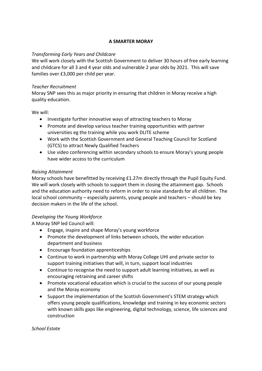#### **A SMARTER MORAY**

#### *Transforming Early Years and Childcare*

We will work closely with the Scottish Government to deliver 30 hours of free early learning and childcare for all 3 and 4 year olds and vulnerable 2 year olds by 2021. This will save families over £3,000 per child per year.

#### *Teacher Recruitment*

Moray SNP sees this as major priority in ensuring that children in Moray receive a high quality education.

We will:

- Investigate further innovative ways of attracting teachers to Moray
- Promote and develop various teacher training opportunities with partner universities eg the training while you work DLITE scheme
- Work with the Scottish Government and General Teaching Council for Scotland (GTCS) to attract Newly Qualified Teachers
- Use video conferencing within secondary schools to ensure Moray's young people have wider access to the curriculum

## *Raising Attainment*

Moray schools have benefitted by receiving £1.27m directly through the Pupil Equity Fund. We will work closely with schools to support them in closing the attainment gap. Schools and the education authority need to reform in order to raise standards for all children. The local school community – especially parents, young people and teachers – should be key decision makers in the life of the school.

## *Developing the Young Workforce*

A Moray SNP led Council will:

- Engage, inspire and shape Moray's young workforce
- Promote the development of links between schools, the wider education department and business
- Encourage foundation apprenticeships
- Continue to work in partnership with Moray College UHI and private sector to support training initiatives that will, in turn, support local industries
- Continue to recognise the need to support adult learning initiatives, as well as encouraging retraining and career shifts
- Promote vocational education which is crucial to the success of our young people and the Moray economy
- Support the implementation of the Scottish Government's STEM strategy which offers young people qualifications, knowledge and training in key economic sectors with known skills gaps like engineering, digital technology, science, life sciences and construction

#### *School Estate*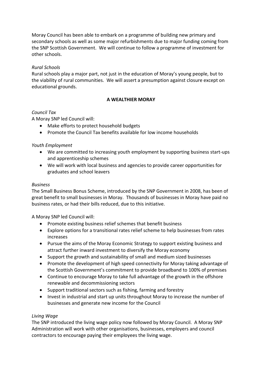Moray Council has been able to embark on a programme of building new primary and secondary schools as well as some major refurbishments due to major funding coming from the SNP Scottish Government. We will continue to follow a programme of investment for other schools.

## *Rural Schools*

Rural schools play a major part, not just in the education of Moray's young people, but to the viability of rural communities. We will assert a presumption against closure except on educational grounds.

#### **A WEALTHIER MORAY**

#### *Council Tax*

A Moray SNP led Council will:

- Make efforts to protect household budgets
- Promote the Council Tax benefits available for low income households

#### *Youth Employment*

- We are committed to increasing youth employment by supporting business start-ups and apprenticeship schemes
- We will work with local business and agencies to provide career opportunities for graduates and school leavers

#### *Business*

The Small Business Bonus Scheme, introduced by the SNP Government in 2008, has been of great benefit to small businesses in Moray. Thousands of businesses in Moray have paid no business rates, or had their bills reduced, due to this initiative.

A Moray SNP led Council will:

- Promote existing business relief schemes that benefit business
- Explore options for a transitional rates relief scheme to help businesses from rates increases
- Pursue the aims of the Moray Economic Strategy to support existing business and attract further inward investment to diversify the Moray economy
- Support the growth and sustainability of small and medium sized businesses
- Promote the development of high speed connectivity for Moray taking advantage of the Scottish Government's commitment to provide broadband to 100% of premises
- Continue to encourage Moray to take full advantage of the growth in the offshore renewable and decommissioning sectors
- Support traditional sectors such as fishing, farming and forestry
- Invest in industrial and start up units throughout Moray to increase the number of businesses and generate new income for the Council

#### *Living Wage*

The SNP introduced the living wage policy now followed by Moray Council. A Moray SNP Administration will work with other organisations, businesses, employers and council contractors to encourage paying their employees the living wage.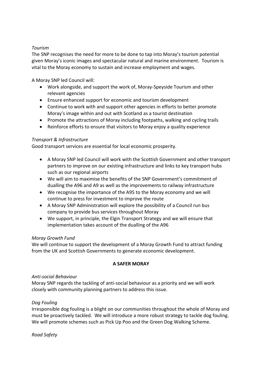## *Tourism*

The SNP recognises the need for more to be done to tap into Moray's tourism potential given Moray's iconic images and spectacular natural and marine environment. Tourism is vital to the Moray economy to sustain and increase employment and wages.

A Moray SNP led Council will:

- Work alongside, and support the work of, Moray-Speyside Tourism and other relevant agencies
- Ensure enhanced support for economic and tourism development
- Continue to work with and support other agencies in efforts to better promote Moray's image within and out with Scotland as a tourist destination
- Promote the attractions of Moray including footpaths, walking and cycling trails
- Reinforce efforts to ensure that visitors to Moray enjoy a quality experience

## *Transport & Infrastructure*

Good transport services are essential for local economic prosperity.

- A Moray SNP led Council will work with the Scottish Government and other transport partners to improve on our existing infrastructure and links to key transport hubs such as our regional airports
- We will aim to maximise the benefits of the SNP Government's commitment of dualling the A96 and A9 as well as the improvements to railway infrastructure
- We recognise the importance of the A95 to the Moray economy and we will continue to press for investment to improve the route
- A Moray SNP Administration will explore the possibility of a Council run bus company to provide bus services throughout Moray
- We support, in principle, the Elgin Transport Strategy and we will ensure that implementation takes account of the dualling of the A96

## *Moray Growth Fund*

We will continue to support the development of a Moray Growth Fund to attract funding from the UK and Scottish Governments to generate economic development.

## **A SAFER MORAY**

#### *Anti-social Behaviour*

Moray SNP regards the tackling of anti-social behaviour as a priority and we will work closely with community planning partners to address this issue.

## *Dog Fouling*

Irresponsible dog fouling is a blight on our communities throughout the whole of Moray and must be proactively tackled. We will introduce a more robust strategy to tackle dog fouling. We will promote schemes such as Pick Up Poo and the Green Dog Walking Scheme.

*Road Safety*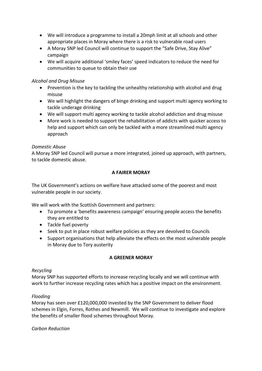- We will introduce a programme to install a 20mph limit at all schools and other appropriate places in Moray where there is a risk to vulnerable road users
- A Moray SNP led Council will continue to support the "Safe Drive, Stay Alive" campaign
- We will acquire additional 'smiley faces' speed indicators to reduce the need for communities to queue to obtain their use

# *Alcohol and Drug Misuse*

- Prevention is the key to tackling the unhealthy relationship with alcohol and drug misuse
- We will highlight the dangers of binge drinking and support multi agency working to tackle underage drinking
- We will support multi agency working to tackle alcohol addiction and drug misuse
- More work is needed to support the rehabilitation of addicts with quicker access to help and support which can only be tackled with a more streamlined multi agency approach

# *Domestic Abuse*

A Moray SNP led Council will pursue a more integrated, joined up approach, with partners, to tackle domestic abuse.

# **A FAIRER MORAY**

The UK Government's actions on welfare have attacked some of the poorest and most vulnerable people in our society.

We will work with the Scottish Government and partners:

- To promote a 'benefits awareness campaign' ensuring people access the benefits they are entitled to
- Tackle fuel poverty
- Seek to put in place robust welfare policies as they are devolved to Councils
- Support organisations that help alleviate the effects on the most vulnerable people in Moray due to Tory austerity

## **A GREENER MORAY**

## *Recycling*

Moray SNP has supported efforts to increase recycling locally and we will continue with work to further increase recycling rates which has a positive impact on the environment.

## *Flooding*

Moray has seen over £120,000,000 invested by the SNP Government to deliver flood schemes in Elgin, Forres, Rothes and Newmill. We will continue to investigate and explore the benefits of smaller flood schemes throughout Moray.

## *Carbon Reduction*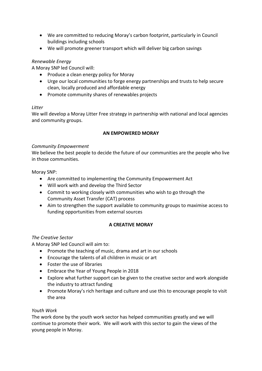- We are committed to reducing Moray's carbon footprint, particularly in Council buildings including schools
- We will promote greener transport which will deliver big carbon savings

# *Renewable Energy*

A Moray SNP led Council will:

- Produce a clean energy policy for Moray
- Urge our local communities to forge energy partnerships and trusts to help secure clean, locally produced and affordable energy
- Promote community shares of renewables projects

## *Litter*

We will develop a Moray Litter Free strategy in partnership with national and local agencies and community groups.

## **AN EMPOWERED MORAY**

#### *Community Empowerment*

We believe the best people to decide the future of our communities are the people who live in those communities.

Moray SNP:

- Are committed to implementing the Community Empowerment Act
- Will work with and develop the Third Sector
- Commit to working closely with communities who wish to go through the Community Asset Transfer (CAT) process
- Aim to strengthen the support available to community groups to maximise access to funding opportunities from external sources

## **A CREATIVE MORAY**

## *The Creative Sector*

A Moray SNP led Council will aim to:

- Promote the teaching of music, drama and art in our schools
- Encourage the talents of all children in music or art
- Foster the use of libraries
- Embrace the Year of Young People in 2018
- Explore what further support can be given to the creative sector and work alongside the industry to attract funding
- Promote Moray's rich heritage and culture and use this to encourage people to visit the area

## *Youth Work*

The work done by the youth work sector has helped communities greatly and we will continue to promote their work. We will work with this sector to gain the views of the young people in Moray.